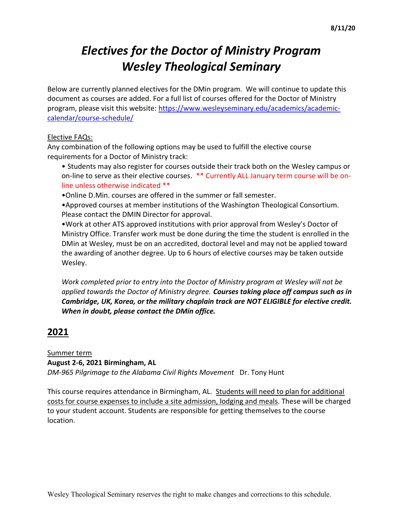# Electives for the Doctor of Ministry Program Wesley Theological Seminary

Below are currently planned electives for the DMin program. We will continue to update this document as courses are added. For a full list of courses offered for the Doctor of Ministry program, please visit this website: https://www.wesleyseminary.edu/academics/academiccalendar/course-schedule/

#### Elective FAQs:

Any combination of the following options may be used to fulfill the elective course requirements for a Doctor of Ministry track:

- Students may also register for courses outside their track both on the Wesley campus or on-line to serve as their elective courses. \*\* Currently ALL January term course will be online unless otherwise indicated \*\*
- •Online D.Min. courses are offered in the summer or fall semester.

•Approved courses at member institutions of the Washington Theological Consortium. Please contact the DMIN Director for approval.

•Work at other ATS approved institutions with prior approval from Wesley's Doctor of Ministry Office. Transfer work must be done during the time the student is enrolled in the DMin at Wesley, must be on an accredited, doctoral level and may not be applied toward the awarding of another degree. Up to 6 hours of elective courses may be taken outside Wesley.

Work completed prior to entry into the Doctor of Ministry program at Wesley will not be applied towards the Doctor of Ministry degree. Courses taking place off campus such as in Cambridge, UK, Korea, or the military chaplain track are NOT ELIGIBLE for elective credit. When in doubt, please contact the DMin office.

## 2021

### Summer term

### August 2-6, 2021 Birmingham, AL

DM-965 Pilgrimage to the Alabama Civil Rights Movement Dr. Tony Hunt

This course requires attendance in Birmingham, AL. Students will need to plan for additional costs for course expenses to include a site admission, lodging and meals. These will be charged to your student account. Students are responsible for getting themselves to the course location.